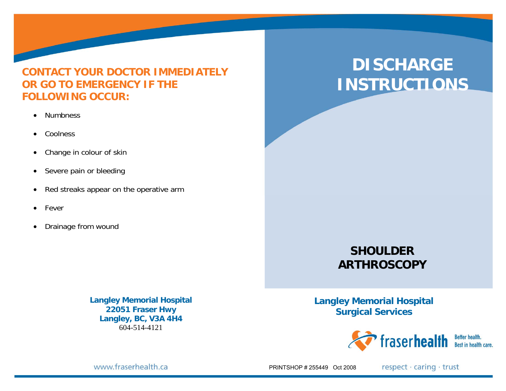## **CONTACT YOUR DOCTOR IMMEDIATELY OR GO TO EMERGENCY IF THE FOLLOWING OCCUR:**

- Numbness
- $\bullet$ **Coolness**
- $\bullet$ Change in colour of skin
- $\bullet$ Severe pain or bleeding
- $\bullet$ Red streaks appear on the operative arm
- Fever
- $\bullet$ Drainage from wound

**Langley Memorial Hospital 22051 Fraser Hwy Langley, BC, V3A 4H4**  604-514-4121

# **DISCHARGE INSTRUCTIONS**

## **SHOULDER ARTHROSCOPY**

**Langley Memorial Hospital Surgical Services** 



www.fraserhealth.ca

PRINTSHOP # 255449 Oct 2008

respect · caring · trust